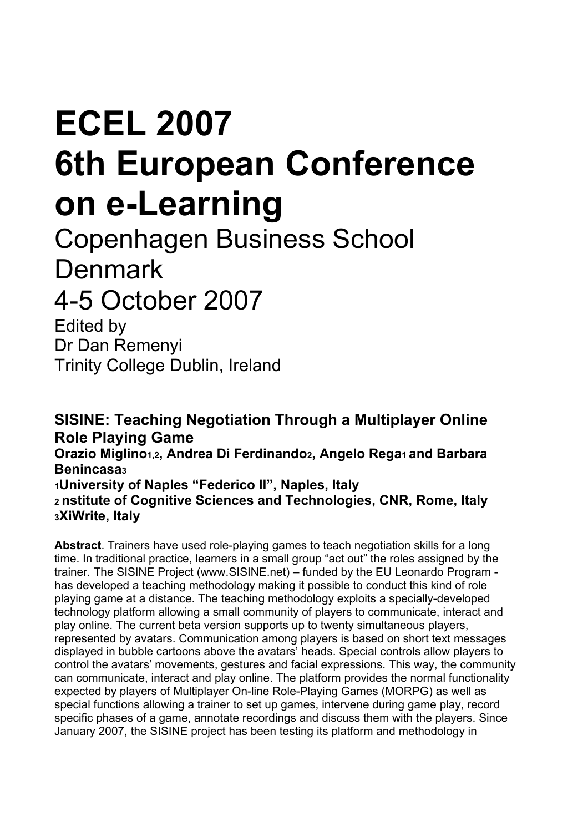## **ECEL 2007 6th European Conference on e-Learning**

Copenhagen Business School Denmark 4-5 October 2007

Edited by Dr Dan Remenyi Trinity College Dublin, Ireland

**SISINE: Teaching Negotiation Through a Multiplayer Online Role Playing Game Orazio Miglino1,2, Andrea Di Ferdinando2, Angelo Rega1 and Barbara Benincasa3 1University of Naples "Federico II", Naples, Italy 2 nstitute of Cognitive Sciences and Technologies, CNR, Rome, Italy 3XiWrite, Italy** 

**Abstract**. Trainers have used role-playing games to teach negotiation skills for a long time. In traditional practice, learners in a small group "act out" the roles assigned by the trainer. The SISINE Project (www.SISINE.net) – funded by the EU Leonardo Program has developed a teaching methodology making it possible to conduct this kind of role playing game at a distance. The teaching methodology exploits a specially-developed technology platform allowing a small community of players to communicate, interact and play online. The current beta version supports up to twenty simultaneous players, represented by avatars. Communication among players is based on short text messages displayed in bubble cartoons above the avatars' heads. Special controls allow players to control the avatars' movements, gestures and facial expressions. This way, the community can communicate, interact and play online. The platform provides the normal functionality expected by players of Multiplayer On-line Role-Playing Games (MORPG) as well as special functions allowing a trainer to set up games, intervene during game play, record specific phases of a game, annotate recordings and discuss them with the players. Since January 2007, the SISINE project has been testing its platform and methodology in